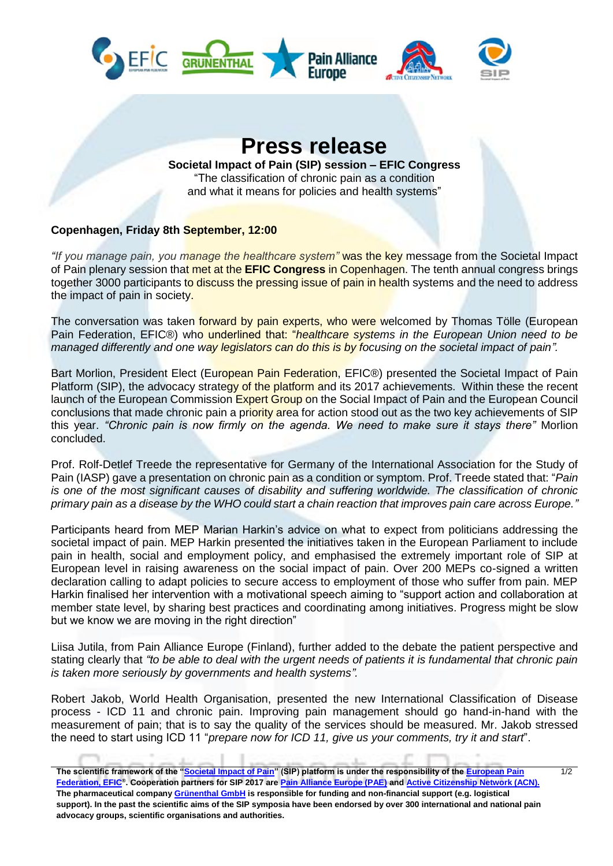

## **Press release**

**Societal Impact of Pain (SIP) session – EFIC Congress** "The classification of chronic pain as a condition and what it means for policies and health systems"

## **Copenhagen, Friday 8th September, 12:00**

*"If you manage pain, you manage the healthcare system"* was the key message from the Societal Impact of Pain plenary session that met at the **EFIC Congress** in Copenhagen. The tenth annual congress brings together 3000 participants to discuss the pressing issue of pain in health systems and the need to address the impact of pain in society.

The conversation was taken forward by pain experts, who were welcomed by Thomas Tölle (European Pain Federation, EFIC®) who underlined that: "*healthcare systems in the European Union need to be managed differently and one way legislators can do this is by focusing on the societal impact of pain".*

Bart Morlion, President Elect (European Pain Federation, EFIC®) presented the Societal Impact of Pain Platform (SIP), the advocacy strategy of the platform and its 2017 achievements. Within these the recent launch of the European Commission Expert Group on the Social Impact of Pain and the European Council conclusions that made chronic pain a priority area for action stood out as the two key achievements of SIP this year. *"Chronic pain is now firmly on the agenda. We need to make sure it stays there"* Morlion concluded.

Prof. Rolf-Detlef Treede the representative for Germany of the International Association for the Study of Pain (IASP) gave a presentation on chronic pain as a condition or symptom. Prof. Treede stated that: "*Pain is one of the most significant causes of disability and suffering worldwide. The classification of chronic primary pain as a disease by the WHO could start a chain reaction that improves pain care across Europe."*

Participants heard from MEP Marian Harkin's advice on what to expect from politicians addressing the societal impact of pain. MEP Harkin presented the initiatives taken in the European Parliament to include pain in health, social and employment policy, and emphasised the extremely important role of SIP at European level in raising awareness on the social impact of pain. Over 200 MEPs co-signed a written declaration calling to adapt policies to secure access to employment of those who suffer from pain. MEP Harkin finalised her intervention with a motivational speech aiming to "support action and collaboration at member state level, by sharing best practices and coordinating among initiatives. Progress might be slow but we know we are moving in the right direction"

Liisa Jutila, from Pain Alliance Europe (Finland), further added to the debate the patient perspective and stating clearly that *"to be able to deal with the urgent needs of patients it is fundamental that chronic pain is taken more seriously by governments and health systems".* 

Robert Jakob, World Health Organisation, presented the new International Classification of Disease process - ICD 11 and chronic pain. Improving pain management should go hand-in-hand with the measurement of pain; that is to say the quality of the services should be measured. Mr. Jakob stressed the need to start using ICD 11 "*prepare now for ICD 11, give us your comments, try it and start*".

**The scientific framework of the ["Societal Impact of Pain"](https://www.sip-platform.eu/) (SIP) platform is under the responsibility of the [European Pain](http://www.efic.org/)  [Federation, EFIC](http://www.efic.org/)® . Cooperation partners for SIP 2017 ar[e Pain Alliance Europe \(PAE\)](http://www.pae-eu.eu/) an[d Active Citizenship Network \(ACN\).](http://www.activecitizenship.net/) The pharmaceutical compan[y Grünenthal GmbH](http://www.grunenthal.com/) is responsible for funding and non-financial support (e.g. logistical support). In the past the scientific aims of the SIP symposia have been endorsed by over 300 international and national pain advocacy groups, scientific organisations and authorities.**